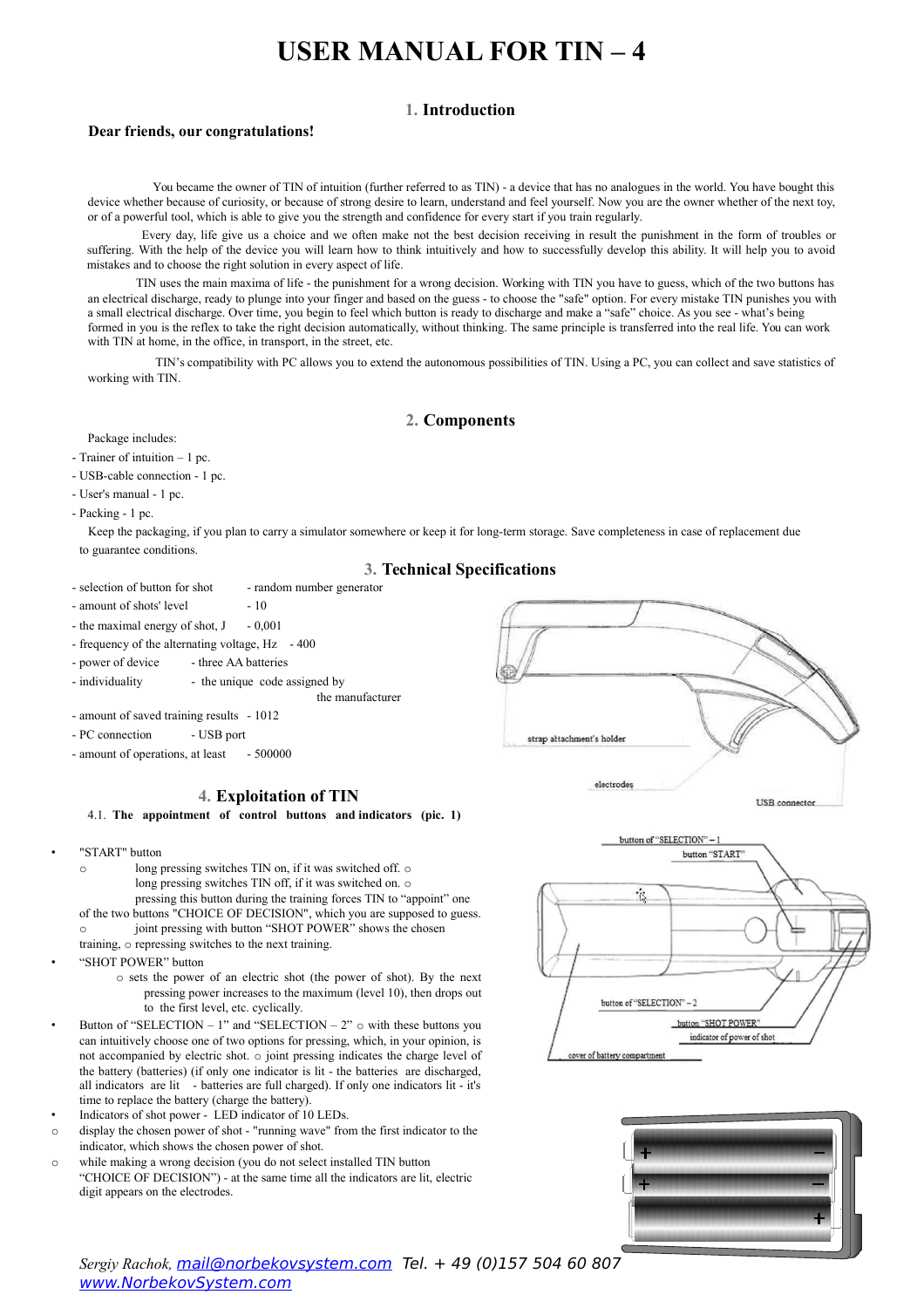# **1. Introduction**

## **Dear friends, our congratulations!**

You became the owner of TIN of intuition (further referred to as TIN) - a device that has no analogues in the world. You have bought this device whether because of curiosity, or because of strong desire to learn, understand and feel yourself. Now you are the owner whether of the next toy, or of a powerful tool, which is able to give you the strength and confidence for every start if you train regularly.

Every day, life give us a choice and we often make not the best decision receiving in result the punishment in the form of troubles or suffering. With the help of the device you will learn how to think intuitively and how to successfully develop this ability. It will help you to avoid mistakes and to choose the right solution in every aspect of life.

TIN uses the main maxima of life - the punishment for a wrong decision. Working with TIN you have to guess, which of the two buttons has an electrical discharge, ready to plunge into your finger and based on the guess - to choose the "safe" option. For every mistake TIN punishes you with a small electrical discharge. Over time, you begin to feel which button is ready to discharge and make a "safe" choice. As you see - what's being formed in you is the reflex to take the right decision automatically, without thinking. The same principle is transferred into the real life. You can work with TIN at home, in the office, in transport, in the street, etc.

TIN's compatibility with PC allows you to extend the autonomous possibilities of TIN. Using a PC, you can collect and save statistics of working with TIN.

# **2. Components**

Package includes:

- Trainer of intuition 1 pc.
- USB-cable connection 1 pc.
- User's manual 1 pc.
- Packing 1 pc.

Keep the packaging, if you plan to carry a simulator somewhere or keep it for long-term storage. Save completeness in case of replacement due to guarantee conditions.

# **3. Technical Specifications**

- selection of button for shot random number generator
- amount of shots' level 10
- the maximal energy of shot,  $J = 0,001$
- frequency of the alternating voltage, Hz 400
- power of device three AA batteries
- individuality the unique code assigned by
	- the manufacturer
- amount of saved training results 1012
- PC connection USB port
- amount of operations, at least 500000

## **4. Exploitation of TIN**

## 4.1. **The appointment of control buttons and indicators (pic. 1)**

- "START" button
	- o long pressing switches TIN on, if it was switched off. o long pressing switches TIN off, if it was switched on. o pressing this button during the training forces TIN to "appoint" one of the two buttons "CHOICE OF DECISION", which you are supposed to guess.
	- joint pressing with button "SHOT POWER" shows the chosen
	- training, o repressing switches to the next training.
- "SHOT POWER" button
	- o sets the power of an electric shot (the power of shot). By the next pressing power increases to the maximum (level 10), then drops out to the first level, etc. cyclically.
- Button of "SELECTION 1" and "SELECTION 2"  $\circ$  with these buttons you can intuitively choose one of two options for pressing, which, in your opinion, is not accompanied by electric shot. o joint pressing indicates the charge level of the battery (batteries) (if only one indicator is lit - the batteries are discharged, all indicators are lit - batteries are full charged). If only one indicators lit - it's time to replace the battery (charge the battery).
- Indicators of shot power LED indicator of 10 LEDs.
- o display the chosen power of shot "running wave" from the first indicator to the indicator, which shows the chosen power of shot.
- o while making a wrong decision (you do not select installed TIN button "CHOICE OF DECISION") - at the same time all the indicators are lit, electric digit appears on the electrodes.







*Sergiy Rachok,* mail@norbekovsystem.com Tel. + 49 (0)157 504 60 807 www.NorbekovSystem.com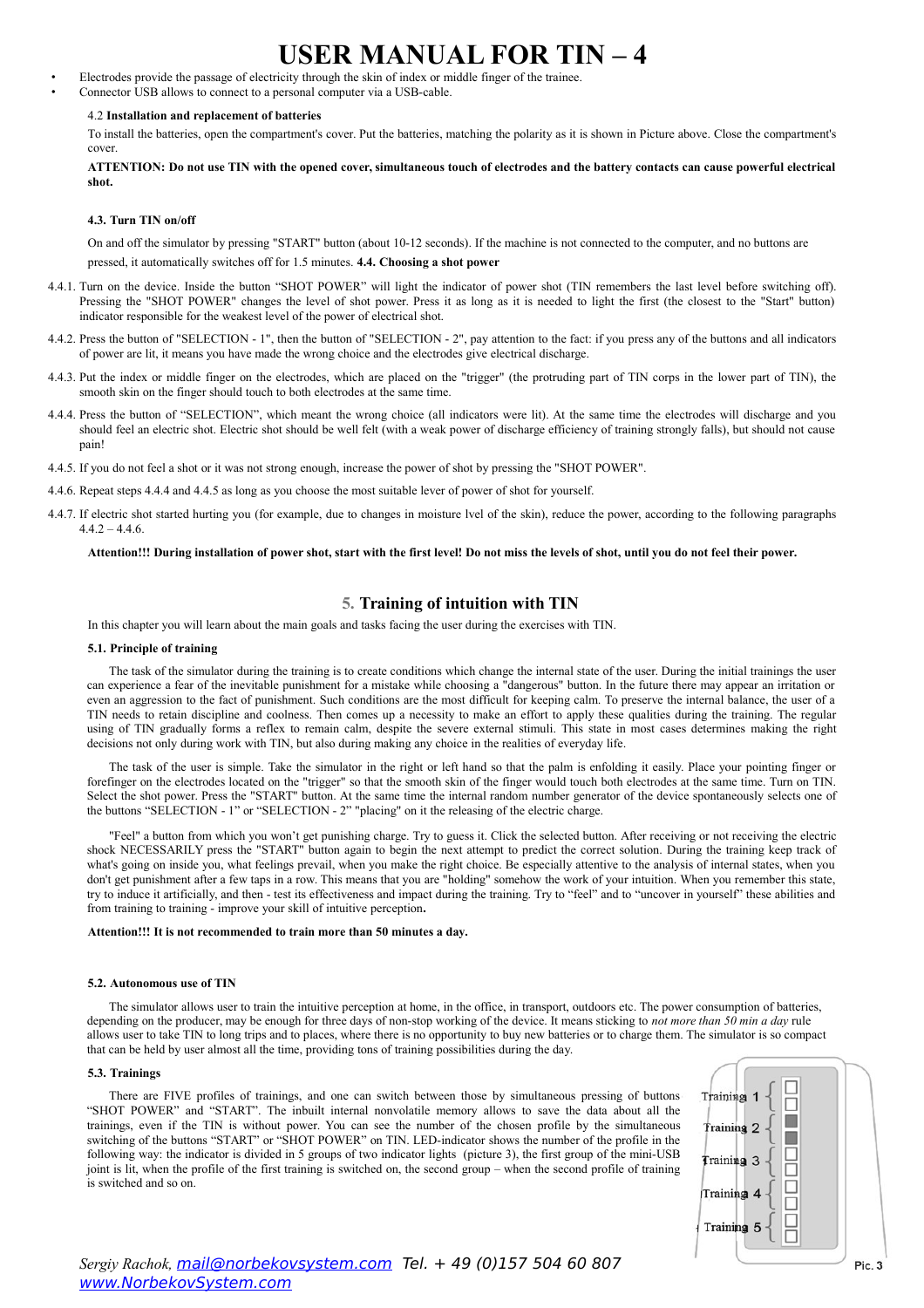- Electrodes provide the passage of electricity through the skin of index or middle finger of the trainee.
- Connector USB allows to connect to a personal computer via a USB-cable.

### 4.2 **Installation and replacement of batteries**

To install the batteries, open the compartment's cover. Put the batteries, matching the polarity as it is shown in Picture above. Close the compartment's cover.

**ATTENTION: Do not use TIN with the opened cover, simultaneous touch of electrodes and the battery contacts can cause powerful electrical shot.**

## **4.3. Turn TIN on/off**

On and off the simulator by pressing "START" button (about 10-12 seconds). If the machine is not connected to the computer, and no buttons are pressed, it automatically switches off for 1.5 minutes. **4.4. Choosing a shot power**

- 4.4.1. Turn on the device. Inside the button "SHOT POWER" will light the indicator of power shot (TIN remembers the last level before switching off). Pressing the "SHOT POWER" changes the level of shot power. Press it as long as it is needed to light the first (the closest to the "Start" button) indicator responsible for the weakest level of the power of electrical shot.
- 4.4.2. Press the button of "SELECTION 1", then the button of "SELECTION 2", pay attention to the fact: if you press any of the buttons and all indicators of power are lit, it means you have made the wrong choice and the electrodes give electrical discharge.
- 4.4.3. Put the index or middle finger on the electrodes, which are placed on the "trigger" (the protruding part of TIN corps in the lower part of TIN), the smooth skin on the finger should touch to both electrodes at the same time.
- 4.4.4. Press the button of "SELECTION", which meant the wrong choice (all indicators were lit). At the same time the electrodes will discharge and you should feel an electric shot. Electric shot should be well felt (with a weak power of discharge efficiency of training strongly falls), but should not cause pain!
- 4.4.5. If you do not feel a shot or it was not strong enough, increase the power of shot by pressing the "SHOT POWER".
- 4.4.6. Repeat steps 4.4.4 and 4.4.5 as long as you choose the most suitable lever of power of shot for yourself.
- 4.4.7. If electric shot started hurting you (for example, due to changes in moisture lvel of the skin), reduce the power, according to the following paragraphs  $442 - 446$

## **Attention!!! During installation of power shot, start with the first level! Do not miss the levels of shot, until you do not feel their power.**

## **5. Training of intuition with TIN**

In this chapter you will learn about the main goals and tasks facing the user during the exercises with TIN.

#### **5.1. Principle of training**

The task of the simulator during the training is to create conditions which change the internal state of the user. During the initial trainings the user can experience a fear of the inevitable punishment for a mistake while choosing a "dangerous" button. In the future there may appear an irritation or even an aggression to the fact of punishment. Such conditions are the most difficult for keeping calm. To preserve the internal balance, the user of a TIN needs to retain discipline and coolness. Then comes up a necessity to make an effort to apply these qualities during the training. The regular using of TIN gradually forms a reflex to remain calm, despite the severe external stimuli. This state in most cases determines making the right decisions not only during work with TIN, but also during making any choice in the realities of everyday life.

The task of the user is simple. Take the simulator in the right or left hand so that the palm is enfolding it easily. Place your pointing finger or forefinger on the electrodes located on the "trigger" so that the smooth skin of the finger would touch both electrodes at the same time. Turn on TIN. Select the shot power. Press the "START" button. At the same time the internal random number generator of the device spontaneously selects one of the buttons "SELECTION - 1" or "SELECTION - 2" "placing" on it the releasing of the electric charge.

"Feel" a button from which you won't get punishing charge. Try to guess it. Click the selected button. After receiving or not receiving the electric shock NECESSARILY press the "START" button again to begin the next attempt to predict the correct solution. During the training keep track of what's going on inside you, what feelings prevail, when you make the right choice. Be especially attentive to the analysis of internal states, when you don't get punishment after a few taps in a row. This means that you are "holding" somehow the work of your intuition. When you remember this state, try to induce it artificially, and then - test its effectiveness and impact during the training. Try to "feel" and to "uncover in yourself" these abilities and from training to training - improve your skill of intuitive perception**.**

#### **Attention!!! It is not recommended to train more than 50 minutes a day.**

#### **5.2. Autonomous use of TIN**

The simulator allows user to train the intuitive perception at home, in the office, in transport, outdoors etc. The power consumption of batteries, depending on the producer, may be enough for three days of non-stop working of the device. It means sticking to *not more than 50 min a day* rule allows user to take TIN to long trips and to places, where there is no opportunity to buy new batteries or to charge them. The simulator is so compact that can be held by user almost all the time, providing tons of training possibilities during the day.

#### **5.3. Trainings**

There are FIVE profiles of trainings, and one can switch between those by simultaneous pressing of buttons "SHOT POWER" and "START". The inbuilt internal nonvolatile memory allows to save the data about all the trainings, even if the TIN is without power. You can see the number of the chosen profile by the simultaneous switching of the buttons "START" or "SHOT POWER" on TIN. LED-indicator shows the number of the profile in the following way: the indicator is divided in 5 groups of two indicator lights (picture 3), the first group of the mini-USB joint is lit, when the profile of the first training is switched on, the second group – when the second profile of training is switched and so on.

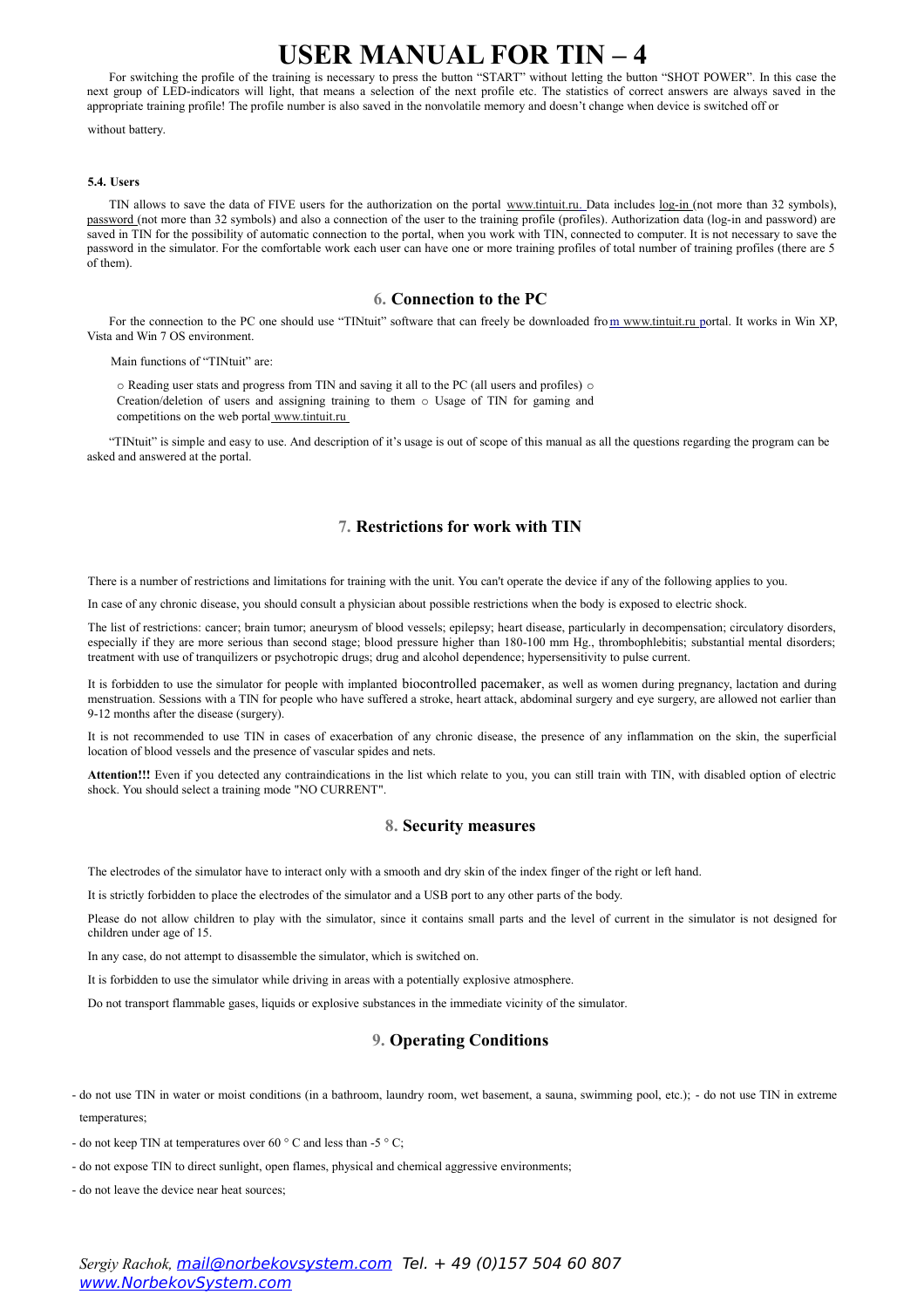For switching the profile of the training is necessary to press the button "START" without letting the button "SHOT POWER". In this case the next group of LED-indicators will light, that means a selection of the next profile etc. The statistics of correct answers are always saved in the appropriate training profile! The profile number is also saved in the nonvolatile memory and doesn't change when device is switched off or

without battery.

## **5.4. Users**

TIN allows to save the data of FIVE users for the authorization on the portal [www.tintuit.ru.](http://www.tintuit.ru/) Data includes log-in (not more than 32 symbols), password (not more than 32 symbols) and also a connection of the user to the training profile (profiles). Authorization data (log-in and password) are saved in TIN for the possibility of automatic connection to the portal, when you work with TIN, connected to computer. It is not necessary to save the password in the simulator. For the comfortable work each user can have one or more training profiles of total number of training profiles (there are 5 of them).

## **6. Connection to the PC**

For the connection to the PC one should use "TINtuit" software that can freely be downloaded from www.tintuit.ru portal. It works in Win XP, Vista and Win 7 OS environment.

Main functions of "TINtuit" are:

o Reading user stats and progress from TIN and saving it all to the PC (all users and profiles) o Creation/deletion of users and assigning training to them o Usage of TIN for gaming and competitions on the web portal [www.tintuit.ru](http://www.tintuit.ru/)

"TINtuit" is simple and easy to use. And description of it's usage is out of scope of this manual as all the questions regarding the program can be asked and answered at the portal.

# **7. Restrictions for work with TIN**

There is a number of restrictions and limitations for training with the unit. You can't operate the device if any of the following applies to you.

In case of any chronic disease, you should consult a physician about possible restrictions when the body is exposed to electric shock.

The list of restrictions: cancer; brain tumor; aneurysm of blood vessels; epilepsy; heart disease, particularly in decompensation; circulatory disorders, especially if they are more serious than second stage; blood pressure higher than 180-100 mm Hg., thrombophlebitis; substantial mental disorders; treatment with use of tranquilizers or psychotropic drugs; drug and alcohol dependence; hypersensitivity to pulse current.

It is forbidden to use the simulator for people with implanted biocontrolled pacemaker, as well as women during pregnancy, lactation and during menstruation. Sessions with a TIN for people who have suffered a stroke, heart attack, abdominal surgery and eye surgery, are allowed not earlier than 9-12 months after the disease (surgery).

It is not recommended to use TIN in cases of exacerbation of any chronic disease, the presence of any inflammation on the skin, the superficial location of blood vessels and the presence of vascular spides and nets.

**Attention!!!** Even if you detected any contraindications in the list which relate to you, you can still train with TIN, with disabled option of electric shock. You should select a training mode "NO CURRENT".

## **8. Security measures**

The electrodes of the simulator have to interact only with a smooth and dry skin of the index finger of the right or left hand.

It is strictly forbidden to place the electrodes of the simulator and a USB port to any other parts of the body.

Please do not allow children to play with the simulator, since it contains small parts and the level of current in the simulator is not designed for children under age of 15.

In any case, do not attempt to disassemble the simulator, which is switched on.

It is forbidden to use the simulator while driving in areas with a potentially explosive atmosphere.

Do not transport flammable gases, liquids or explosive substances in the immediate vicinity of the simulator.

## **9. Operating Conditions**

- do not use TIN in water or moist conditions (in a bathroom, laundry room, wet basement, a sauna, swimming pool, etc.); do not use TIN in extreme temperatures;
- do not keep TIN at temperatures over 60  $\degree$  C and less than -5  $\degree$  C;
- do not expose TIN to direct sunlight, open flames, physical and chemical aggressive environments;
- do not leave the device near heat sources;